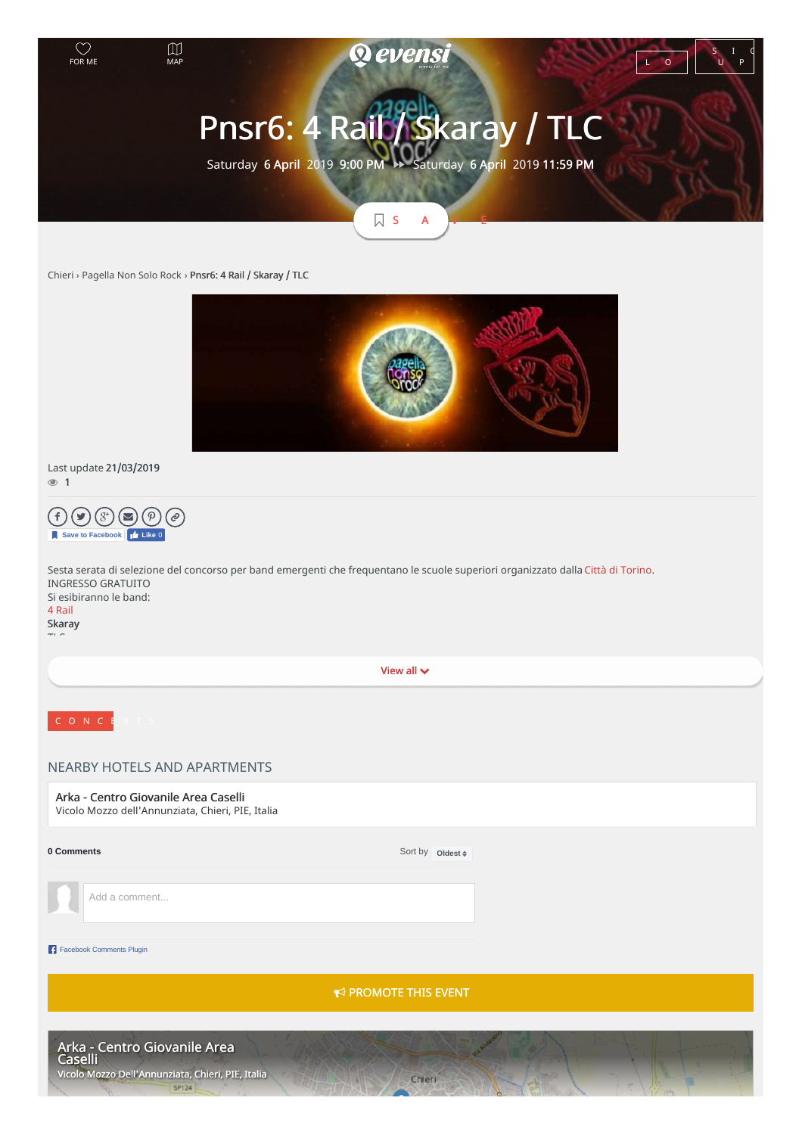

[Chieri](https://www.evensi.it/piemonte/chieri) › [Pagella](https://www.evensi.it/page/pagella-non-solo-rock/10000432564) Non Solo Rock › Pnsr6: 4 Rail / Skaray / TLC



## Last update 21/03/2019  $\circledcirc$  1



| Save to Facebook   Like 0                                                                                     |                                                                                                                                  |  |
|---------------------------------------------------------------------------------------------------------------|----------------------------------------------------------------------------------------------------------------------------------|--|
| <b>INGRESSO GRATUITO</b><br>Si esibiranno le band:<br>4 Rail<br>Skaray                                        | Sesta serata di selezione del concorso per band emergenti che frequentano le scuole superiori organizzato dalla Città di Torino. |  |
|                                                                                                               |                                                                                                                                  |  |
|                                                                                                               | View all $\vee$                                                                                                                  |  |
| CONCE                                                                                                         |                                                                                                                                  |  |
| NEARBY HOTELS AND APARTMENTS                                                                                  |                                                                                                                                  |  |
| Arka - Centro Giovanile Area Caselli<br>Vicolo Mozzo dell'Annunziata, Chieri, PIE, Italia                     |                                                                                                                                  |  |
| 0 Comments                                                                                                    | Sort by oldest #                                                                                                                 |  |
| Add a comment                                                                                                 |                                                                                                                                  |  |
| Facebook Comments Plugin                                                                                      |                                                                                                                                  |  |
|                                                                                                               | $\leftrightarrow$ PROMOTE THIS EVENT                                                                                             |  |
| Arka - Centro Giovanile Area<br> Caselli<br>Vicolo Mozzo Dell'Annunziata, Chieri, PIE, Italia<br><b>SP124</b> | Chieri                                                                                                                           |  |